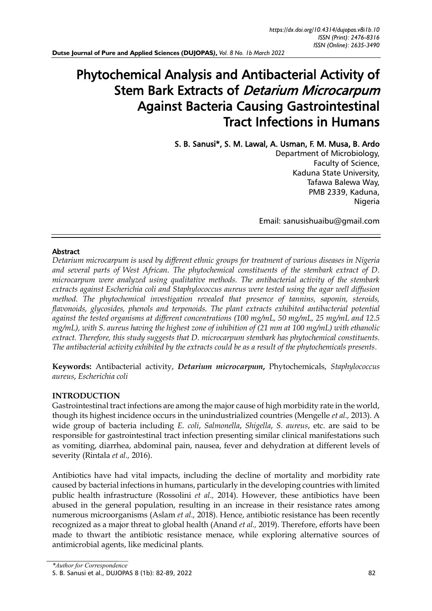# Phytochemical Analysis and Antibacterial Activity of Stem Bark Extracts of Detarium Microcarpum Against Bacteria Causing Gastrointestinal Tract Infections in Humans

S. B. Sanusi\*, S. M. Lawal, A. Usman, F. M. Musa, B. Ardo Department of Microbiology, Faculty of Science, Kaduna State University, Tafawa Balewa Way, PMB 2339, Kaduna, Nigeria

Email: sanusishuaibu@gmail.com

# Abstract

*Detarium microcarpum is used by different ethnic groups for treatment of various diseases in Nigeria and several parts of West African. The phytochemical constituents of the stembark extract of D. microcarpum were analyzed using qualitative methods. The antibacterial activity of the stembark extracts against Escherichia coli and Staphylococcus aureus were tested using the agar well diffusion method. The phytochemical investigation revealed that presence of tannins, saponin, steroids, flavonoids, glycosides, phenols and terpenoids. The plant extracts exhibited antibacterial potential against the tested organisms at different concentrations (100 mg/mL, 50 mg/mL, 25 mg/mL and 12.5 mg/mL), with S. aureus having the highest zone of inhibition of (21 mm at 100 mg/mL) with ethanolic extract. Therefore, this study suggests that D. microcarpum stembark has phytochemical constituents. The antibacterial activity exhibited by the extracts could be as a result of the phytochemicals presents.*

**Keywords:** Antibacterial activity, *Detarium microcarpum***,** Phytochemicals, *Staphylococcus aureus*, *Escherichia coli*

# **INTRODUCTION**

Gastrointestinal tract infections are among the major cause of high morbidity rate in the world, though its highest incidence occurs in the unindustrialized countries (Mengelle *et al.,* 2013). A wide group of bacteria including *E. coli*, *Salmonella*, *Shigella*, *S. aureus*, etc. are said to be responsible for gastrointestinal tract infection presenting similar clinical manifestations such as vomiting, diarrhea, abdominal pain, nausea, fever and dehydration at different levels of severity (Rintala *et al.,* 2016).

Antibiotics have had vital impacts, including the decline of mortality and morbidity rate caused by bacterial infections in humans, particularly in the developing countries with limited public health infrastructure (Rossolini *et al.,* 2014). However, these antibiotics have been abused in the general population, resulting in an increase in their resistance rates among numerous microorganisms (Aslam *et al.,* 2018). Hence, antibiotic resistance has been recently recognized as a major threat to global health (Anand *et al.,* 2019). Therefore, efforts have been made to thwart the antibiotic resistance menace, while exploring alternative sources of antimicrobial agents, like medicinal plants.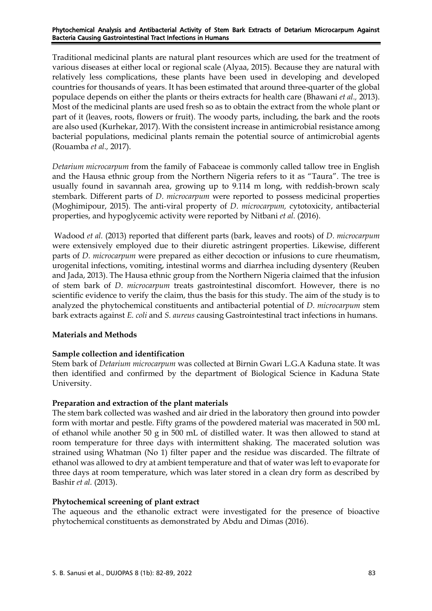Phytochemical Analysis and Antibacterial Activity of Stem Bark Extracts of Detarium Microcarpum Against Bacteria Causing Gastrointestinal Tract Infections in Humans

Traditional medicinal plants are natural plant resources which are used for the treatment of various diseases at either local or regional scale (Alyaa, 2015). Because they are natural with relatively less complications, these plants have been used in developing and developed countries for thousands of years. It has been estimated that around three-quarter of the global populace depends on either the plants or theirs extracts for health care (Bhawani *et al.,* 2013). Most of the medicinal plants are used fresh so as to obtain the extract from the whole plant or part of it (leaves, roots, flowers or fruit). The woody parts, including, the bark and the roots are also used (Kurhekar, 2017). With the consistent increase in antimicrobial resistance among bacterial populations, medicinal plants remain the potential source of antimicrobial agents (Rouamba *et al.,* 2017).

*Detarium microcarpum* from the family of Fabaceae is commonly called tallow tree in English and the Hausa ethnic group from the Northern Nigeria refers to it as "Taura". The tree is usually found in savannah area, growing up to 9.114 m long, with reddish-brown scaly stembark. Different parts of *D. microcarpum* were reported to possess medicinal properties (Moghimipour, 2015). The anti-viral property of *D. microcarpum,* cytotoxicity, antibacterial properties, and hypoglycemic activity were reported by Nitbani *et al.* (2016).

Wadood *et al.* (2013) reported that different parts (bark, leaves and roots) of *D. microcarpum*  were extensively employed due to their diuretic astringent properties. Likewise, different parts of *D. microcarpum* were prepared as either decoction or infusions to cure rheumatism, urogenital infections, vomiting, intestinal worms and diarrhea including dysentery (Reuben and Jada, 2013). The Hausa ethnic group from the Northern Nigeria claimed that the infusion of stem bark of *D. microcarpum* treats gastrointestinal discomfort. However, there is no scientific evidence to verify the claim, thus the basis for this study. The aim of the study is to analyzed the phytochemical constituents and antibacterial potential of *D. microcarpum* stem bark extracts against *E. coli* and *S. aureus* causing Gastrointestinal tract infections in humans.

# **Materials and Methods**

# **Sample collection and identification**

Stem bark of *Detarium microcarpum* was collected at Birnin Gwari L.G.A Kaduna state. It was then identified and confirmed by the department of Biological Science in Kaduna State University.

#### **Preparation and extraction of the plant materials**

The stem bark collected was washed and air dried in the laboratory then ground into powder form with mortar and pestle. Fifty grams of the powdered material was macerated in 500 mL of ethanol while another 50 g in 500 mL of distilled water. It was then allowed to stand at room temperature for three days with intermittent shaking. The macerated solution was strained using Whatman (No 1) filter paper and the residue was discarded. The filtrate of ethanol was allowed to dry at ambient temperature and that of water was left to evaporate for three days at room temperature, which was later stored in a clean dry form as described by Bashir *et al.* (2013).

#### **Phytochemical screening of plant extract**

The aqueous and the ethanolic extract were investigated for the presence of bioactive phytochemical constituents as demonstrated by Abdu and Dimas (2016).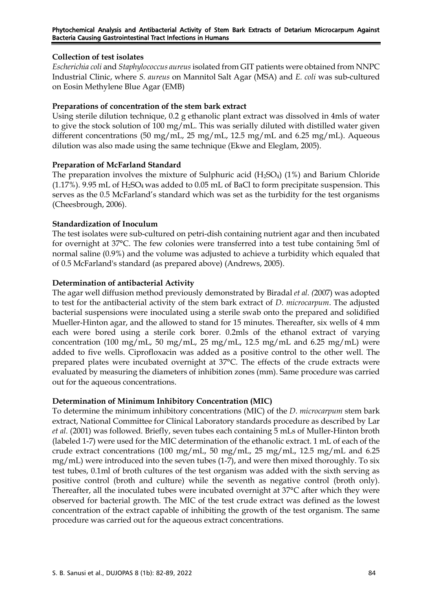# **Collection of test isolates**

*Escherichia coli* and *Staphylococcus aureus* isolated from GIT patients were obtained from NNPC Industrial Clinic, where *S. aureus* on Mannitol Salt Agar (MSA) and *E. coli* was sub-cultured on Eosin Methylene Blue Agar (EMB)

# **Preparations of concentration of the stem bark extract**

Using sterile dilution technique, 0.2 g ethanolic plant extract was dissolved in 4mls of water to give the stock solution of 100 mg/mL. This was serially diluted with distilled water given different concentrations (50 mg/mL, 25 mg/mL, 12.5 mg/mL and 6.25 mg/mL). Aqueous dilution was also made using the same technique (Ekwe and Eleglam, 2005).

# **Preparation of McFarland Standard**

The preparation involves the mixture of Sulphuric acid  $(H_2SO_4)$  (1%) and Barium Chloride (1.17%). 9.95 mL of  $H_2SO_4$  was added to 0.05 mL of BaCl to form precipitate suspension. This serves as the 0.5 McFarland's standard which was set as the turbidity for the test organisms (Cheesbrough, 2006).

# **Standardization of Inoculum**

The test isolates were sub-cultured on petri-dish containing nutrient agar and then incubated for overnight at 37°C. The few colonies were transferred into a test tube containing 5ml of normal saline (0.9%) and the volume was adjusted to achieve a turbidity which equaled that of 0.5 McFarland's standard (as prepared above) (Andrews, 2005).

# **Determination of antibacterial Activity**

The agar well diffusion method previously demonstrated by Biradal *et al. (*2007) was adopted to test for the antibacterial activity of the stem bark extract of *D. microcarpum*. The adjusted bacterial suspensions were inoculated using a sterile swab onto the prepared and solidified Mueller-Hinton agar, and the allowed to stand for 15 minutes. Thereafter, six wells of 4 mm each were bored using a sterile cork borer. 0.2mls of the ethanol extract of varying concentration (100 mg/mL, 50 mg/mL, 25 mg/mL, 12.5 mg/mL and 6.25 mg/mL) were added to five wells. Ciprofloxacin was added as a positive control to the other well. The prepared plates were incubated overnight at 37°C. The effects of the crude extracts were evaluated by measuring the diameters of inhibition zones (mm). Same procedure was carried out for the aqueous concentrations.

# **Determination of Minimum Inhibitory Concentration (MIC)**

To determine the minimum inhibitory concentrations (MIC) of the *D. microcarpum* stem bark extract, National Committee for Clinical Laboratory standards procedure as described by Lar *et al.* (2001) was followed. Briefly, seven tubes each containing 5 mLs of Muller-Hinton broth (labeled 1-7) were used for the MIC determination of the ethanolic extract. 1 mL of each of the crude extract concentrations (100 mg/mL, 50 mg/mL, 25 mg/mL, 12.5 mg/mL and 6.25 mg/mL) were introduced into the seven tubes (1-7), and were then mixed thoroughly. To six test tubes, 0.1ml of broth cultures of the test organism was added with the sixth serving as positive control (broth and culture) while the seventh as negative control (broth only). Thereafter, all the inoculated tubes were incubated overnight at 37°C after which they were observed for bacterial growth. The MIC of the test crude extract was defined as the lowest concentration of the extract capable of inhibiting the growth of the test organism. The same procedure was carried out for the aqueous extract concentrations.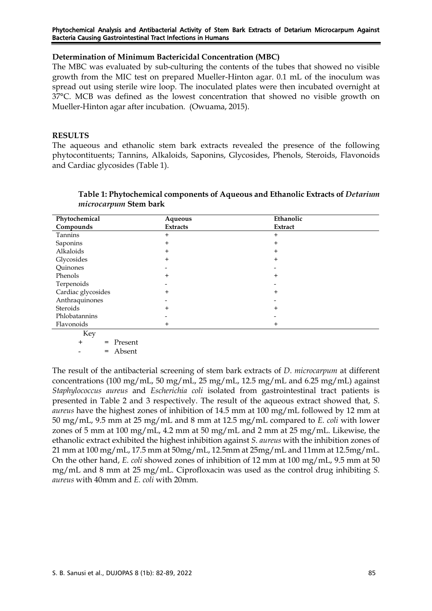#### Phytochemical Analysis and Antibacterial Activity of Stem Bark Extracts of Detarium Microcarpum Against Bacteria Causing Gastrointestinal Tract Infections in Humans

### **Determination of Minimum Bactericidal Concentration (MBC)**

The MBC was evaluated by sub-culturing the contents of the tubes that showed no visible growth from the MIC test on prepared Mueller-Hinton agar. 0.1 mL of the inoculum was spread out using sterile wire loop. The inoculated plates were then incubated overnight at 37°C. MCB was defined as the lowest concentration that showed no visible growth on Mueller-Hinton agar after incubation. (Owuama, 2015).

# **RESULTS**

The aqueous and ethanolic stem bark extracts revealed the presence of the following phytocontituents; Tannins, Alkaloids, Saponins, Glycosides, Phenols, Steroids, Flavonoids and Cardiac glycosides (Table 1).

| Aqueous         | Ethanolic      |
|-----------------|----------------|
| <b>Extracts</b> | <b>Extract</b> |
| $\ddot{}$       | $\ddot{}$      |
| $\ddot{}$       | $\,{}^+$       |
| $\ddot{}$       |                |
| +               | +              |
|                 |                |
| $\ddot{}$       | $\,{}^+$       |
|                 |                |
| $\ddot{}$       | $\,{}^+$       |
|                 |                |
| $\ddot{}$       | +              |
|                 |                |
|                 |                |
|                 |                |

| Table 1: Phytochemical components of Aqueous and Ethanolic Extracts of Detarium |
|---------------------------------------------------------------------------------|
| <i>microcarpum</i> Stem bark                                                    |

Key

+ = Present

- = Absent

The result of the antibacterial screening of stem bark extracts of *D. microcarpum* at different concentrations (100 mg/mL, 50 mg/mL, 25 mg/mL, 12.5 mg/mL and 6.25 mg/mL) against *Staphylococcus aureus* and *Escherichia coli* isolated from gastrointestinal tract patients is presented in Table 2 and 3 respectively. The result of the aqueous extract showed that, *S. aureus* have the highest zones of inhibition of 14.5 mm at 100 mg/mL followed by 12 mm at 50 mg/mL, 9.5 mm at 25 mg/mL and 8 mm at 12.5 mg/mL compared to *E. coli* with lower zones of 5 mm at 100 mg/mL, 4.2 mm at 50 mg/mL and 2 mm at 25 mg/mL. Likewise, the ethanolic extract exhibited the highest inhibition against *S. aureus* with the inhibition zones of 21 mm at 100 mg/mL, 17.5 mm at 50mg/mL, 12.5mm at 25mg/mL and 11mm at 12.5mg/mL. On the other hand, *E. coli* showed zones of inhibition of 12 mm at 100 mg/mL, 9.5 mm at 50 mg/mL and 8 mm at 25 mg/mL. Ciprofloxacin was used as the control drug inhibiting *S. aureus* with 40mm and *E. coli* with 20mm.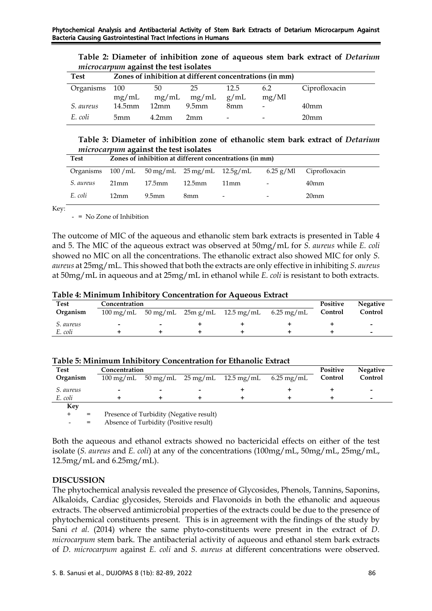| <b>Test</b>      | Zones of inhibition at different concentrations (in mm) |                   |                   |                          |       |                  |  |
|------------------|---------------------------------------------------------|-------------------|-------------------|--------------------------|-------|------------------|--|
| Organisms        | - 100                                                   | 50                | 25                | 12.5                     | 6.2   | Ciprofloxacin    |  |
|                  | mg/mL                                                   | mg/mL             | mg/mL             | g/mL                     | mg/Ml |                  |  |
| <i>S. aureus</i> | $14.5$ mm                                               | 12mm              | 9.5 <sub>mm</sub> | 8 <sub>mm</sub>          |       | 40 <sub>mm</sub> |  |
| E. coli          | 5mm                                                     | 4.2 <sub>mm</sub> | 2mm               | $\overline{\phantom{0}}$ |       | 20 <sub>mm</sub> |  |

**Table 2: Diameter of inhibition zone of aqueous stem bark extract of** *Detarium microcarpum* **against the test isolates** 

**Table 3: Diameter of inhibition zone of ethanolic stem bark extract of** *Detarium microcarpum* **against the test isolates**

| Test             | Zones of inhibition at different concentrations (in mm) |                   |           |                                                                   |                          |                                         |  |
|------------------|---------------------------------------------------------|-------------------|-----------|-------------------------------------------------------------------|--------------------------|-----------------------------------------|--|
|                  |                                                         |                   |           | Organisms $100/mL$ 50 mg/mL $25 \text{ mg/mL}$ $12.5 \text{g/mL}$ |                          | $6.25 \text{ g}/\text{M}$ Ciprofloxacin |  |
| <i>S.</i> aureus | $21 \text{mm}$                                          | 17.5mm            | $12.5$ mm | 11mm                                                              | $\overline{\phantom{a}}$ | 40 <sub>mm</sub>                        |  |
| E. coli          | 12mm                                                    | 9.5 <sub>mm</sub> | 8mm       | $\overline{\phantom{a}}$                                          | $\overline{\phantom{0}}$ | 20 <sub>mm</sub>                        |  |

Key:

- = No Zone of Inhibition

The outcome of MIC of the aqueous and ethanolic stem bark extracts is presented in Table 4 and 5. The MIC of the aqueous extract was observed at 50mg/mL for *S. aureus* while *E. coli* showed no MIC on all the concentrations. The ethanolic extract also showed MIC for only *S. aureus* at 25mg/mL. This showed that both the extracts are only effective in inhibiting *S. aureus* at 50mg/mL in aqueous and at 25mg/mL in ethanol while *E. coli* is resistant to both extracts.

**Table 4: Minimum Inhibitory Concentration for Aqueous Extract** 

| <b>Test</b> | Concentration            |                    |  |                       |                      |         | <b>Negative</b>          |
|-------------|--------------------------|--------------------|--|-----------------------|----------------------|---------|--------------------------|
| Organism    | $100 \,\mathrm{mg/mL}$   | $50 \text{ mg/mL}$ |  | $25m g/mL$ 12.5 mg/mL | $6.25 \text{ mg/mL}$ | Control | Control                  |
| S. aureus   | $\overline{\phantom{0}}$ |                    |  |                       |                      |         | $\overline{\phantom{0}}$ |
| E. coli     |                          |                    |  |                       |                      |         | $\overline{\phantom{0}}$ |

| <b>Test</b>      | Concentration          |                          |                          |                                                   |  |         | <b>Negative</b>          |
|------------------|------------------------|--------------------------|--------------------------|---------------------------------------------------|--|---------|--------------------------|
| Organism         | $100 \,\mathrm{mg/mL}$ |                          |                          | $50 \text{ mg/mL}$ 25 mg/mL 12.5 mg/mL 6.25 mg/mL |  | Control | Control                  |
| <i>S.</i> aureus | $\,$                   | $\overline{\phantom{0}}$ | $\overline{\phantom{a}}$ |                                                   |  |         | $\overline{\phantom{0}}$ |
| E. coli          |                        |                          |                          |                                                   |  |         | -                        |
| Kev              |                        |                          |                          |                                                   |  |         |                          |

Presence of Turbidity (Negative result)

Absence of Turbidity (Positive result)

Both the aqueous and ethanol extracts showed no bactericidal effects on either of the test isolate (*S. aureus* and *E. coli*) at any of the concentrations (100mg/mL, 50mg/mL, 25mg/mL, 12.5mg/mL and 6.25mg/mL).

# **DISCUSSION**

The phytochemical analysis revealed the presence of Glycosides, Phenols, Tannins, Saponins, Alkaloids, Cardiac glycosides, Steroids and Flavonoids in both the ethanolic and aqueous extracts. The observed antimicrobial properties of the extracts could be due to the presence of phytochemical constituents present. This is in agreement with the findings of the study by Sani *et al.* (2014) where the same phyto-constituents were present in the extract of *D. microcarpum* stem bark. The antibacterial activity of aqueous and ethanol stem bark extracts of *D. microcarpum* against *E. coli* and *S. aureus* at different concentrations were observed.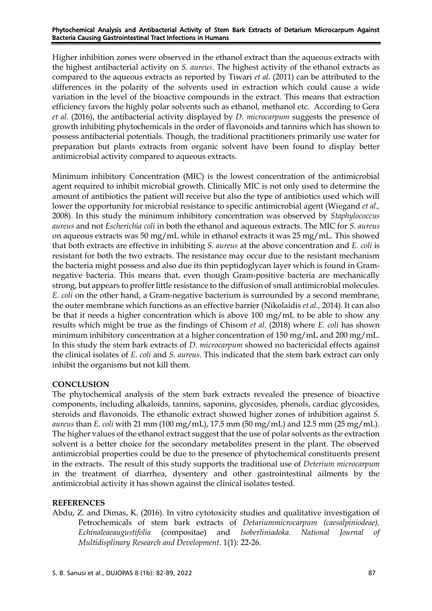Higher inhibition zones were observed in the ethanol extract than the aqueous extracts with the highest antibacterial activity on *S. aureus*. The highest activity of the ethanol extracts as compared to the aqueous extracts as reported by Tiwari *et al.* (2011) can be attributed to the differences in the polarity of the solvents used in extraction which could cause a wide variation in the level of the bioactive compounds in the extract. This means that extraction efficiency favors the highly polar solvents such as ethanol, methanol etc. According to Gera *et al*. (2016), the antibacterial activity displayed by *D. microcarpum* suggests the presence of growth inhibiting phytochemicals in the order of flavonoids and tannins which has shown to possess antibacterial potentials. Though, the traditional practitioners primarily use water for preparation but plants extracts from organic solvent have been found to display better antimicrobial activity compared to aqueous extracts.

Minimum inhibitory Concentration (MIC) is the lowest concentration of the antimicrobial agent required to inhibit microbial growth. Clinically MIC is not only used to determine the amount of antibiotics the patient will receive but also the type of antibiotics used which will lower the opportunity for microbial resistance to specific antimicrobial agent (Wiegand *et al.,* 2008). In this study the minimum inhibitory concentration was observed by *Staphylococcus aureus* and not *Escherichia coli* in both the ethanol and aqueous extracts. The MIC for *S. aureus* on aqueous extracts was 50 mg/mL while in ethanol extracts it was 25 mg/mL. This showed that both extracts are effective in inhibiting *S. aureus* at the above concentration and *E. coli* is resistant for both the two extracts. The resistance may occur due to the resistant mechanism the bacteria might possess and also due its thin peptidoglycan layer which is found in Gramnegative bacteria. This means that, even though Gram-positive bacteria are mechanically strong, but appears to proffer little resistance to the diffusion of small antimicrobial molecules. *E. coli* on the other hand, a Gram-negative bacterium is surrounded by a second membrane, the outer membrane which functions as an effective barrier (Nikolaidis *et al.,* 2014). It can also be that it needs a higher concentration which is above 100 mg/mL to be able to show any results which might be true as the findings of Chisom *et al.* (2018) where *E. coli* has shown minimum inhibitory concentration at a higher concentration of 150 mg/mL and 200 mg/mL. In this study the stem bark extracts of *D. microcarpum* showed no bactericidal effects against the clinical isolates of *E. coli* and *S. aureus*. This indicated that the stem bark extract can only inhibit the organisms but not kill them.

# **CONCLUSION**

The phytochemical analysis of the stem bark extracts revealed the presence of bioactive components, including alkaloids, tannins, saponins, glycosides, phenols, cardiac glycosides, steroids and flavonoids. The ethanolic extract showed higher zones of inhibition against *S. aureus* than *E. coli* with 21 mm (100 mg/mL), 17.5 mm (50 mg/mL) and 12.5 mm (25 mg/mL). The higher values of the ethanol extract suggest that the use of polar solvents as the extraction solvent is a better choice for the secondary metabolites present in the plant. The observed antimicrobial properties could be due to the presence of phytochemical constituents present in the extracts. The result of this study supports the traditional use of *Deterium microcarpum* in the treatment of diarrhea, dysentery and other gastrointestinal ailments by the antimicrobial activity it has shown against the clinical isolates tested.

# **REFERENCES**

Abdu, Z. and Dimas, K. (2016). In vitro cytotoxicity studies and qualitative investigation of Petrochemicals of stem bark extracts of *Detariummicrocarpum (caesalpiniodeae), Echinaleaeaugustifolia* (compositae) and *Isoberliniadoka. National Journal of Multidisplinary Research and Development*. 1(1): 22-26.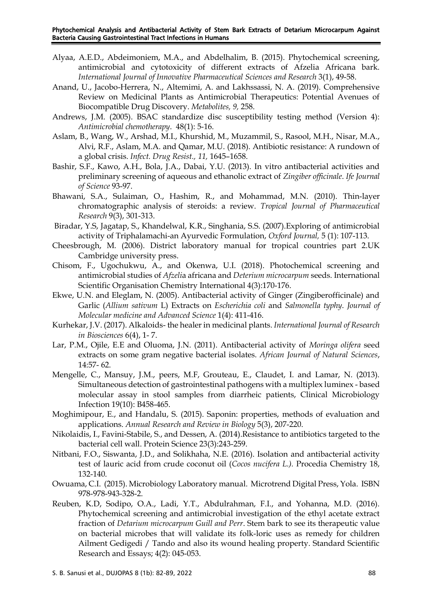- Alyaa, A.E.D., Abdeimoniem, M.A., and Abdelhalim, B. (2015). Phytochemical screening, antimicrobial and cytotoxicity of different extracts of Afzelia Africana bark. *International Journal of Innovative Pharmaceutical Sciences and Research* 3(1), 49-58.
- Anand, U., Jacobo-Herrera, N., Altemimi, A. and Lakhssassi, N. A. (2019). Comprehensive Review on Medicinal Plants as Antimicrobial Therapeutics: Potential Avenues of Biocompatible Drug Discovery. *Metabolites, 9,* 258.
- Andrews, J.M. (2005). BSAC standardize disc susceptibility testing method (Version 4): *Antimicrobial chemotherapy*. 48(1): 5-16.
- Aslam, B., Wang, W., Arshad, M.I., Khurshid, M., Muzammil, S., Rasool, M.H., Nisar, M.A., Alvi, R.F., Aslam, M.A. and Qamar, M.U. (2018). Antibiotic resistance: A rundown of a global crisis. *Infect. Drug Resist., 11,* 1645–1658.
- Bashir, S.F., Kawo, A.H., Bola, J.A., Dabai, Y.U. (2013). In vitro antibacterial activities and preliminary screening of aqueous and ethanolic extract of *Zingiber officinale*. *Ife Journal of Science* 93-97.
- Bhawani, S.A., Sulaiman, O., Hashim, R., and Mohammad, M.N. (2010). Thin-layer chromatographic analysis of steroids: a review. *Tropical Journal of Pharmaceutical Research* 9(3), 301-313.
- Biradar, Y.S, Jagatap, S., Khandelwal, K.R., Singhania, S.S. (2007).Exploring of antimicrobial activity of Triphalamachi-an Ayurvedic Formulation, *Oxford Journal,* 5 (1): 107-113.
- Cheesbrough, M. (2006). District laboratory manual for tropical countries part 2.UK Cambridge university press.
- Chisom, F., Ugochukwu, A., and Okenwa, U.I. (2018). Photochemical screening and antimicrobial studies of *Afzeli*a africana and *Deterium microcarpum* seeds. International Scientific Organisation Chemistry International 4(3):170-176.
- Ekwe, U.N. and Eleglam, N. (2005). Antibacterial activity of Ginger (Zingiberofficinale) and Garlic (*Allium sativum* L) Extracts on *Escherichia coli* and *Salmonella typhy*. *Journal of Molecular medicine and Advanced Science* 1(4): 411-416.
- Kurhekar, J.V. (2017). Alkaloids- the healer in medicinal plants. *International Journal of Research in Biosciences* 6(4), 1- 7.
- Lar, P.M., Ojile, E.E and Oluoma, J.N. (2011). Antibacterial activity of *Moringa olifera* seed extracts on some gram negative bacterial isolates. *African Journal of Natural Sciences*, 14:57- 62.
- Mengelle, C., Mansuy, J.M., peers, M.F, Grouteau, E., Claudet, I. and Lamar, N. (2013). Simultaneous detection of gastrointestinal pathogens with a multiplex luminex - based molecular assay in stool samples from diarrheic patients, Clinical Microbiology Infection 19(10): B458-465.
- Moghimipour, E., and Handalu, S. (2015). Saponin: properties, methods of evaluation and applications. *Annual Research and Review in Biology* 5(3), 207-220.
- Nikolaidis, I., Favini-Stabile, S., and Dessen, A. (2014).Resistance to antibiotics targeted to the bacterial cell wall. Protein Science 23(3):243-259.
- Nitbani, F.O., Siswanta, J.D., and Solikhaha, N.E. (2016). Isolation and antibacterial activity test of lauric acid from crude coconut oil (*Cocos nucifera L.).* Procedia Chemistry 18, 132-140.
- Owuama, C.I. (2015). Microbiology Laboratory manual. Microtrend Digital Press, Yola. ISBN 978-978-943-328-2.
- Reuben, K.D, Sodipo, O.A., Ladi, Y.T., Abdulrahman, F.I., and Yohanna, M.D. (2016). Phytochemical screening and antimicrobial investigation of the ethyl acetate extract fraction of *Detarium microcarpum Guill and Perr*. Stem bark to see its therapeutic value on bacterial microbes that will validate its folk-loric uses as remedy for children Ailment Gedigedi / Tando and also its wound healing property. Standard Scientific Research and Essays; 4(2): 045-053.